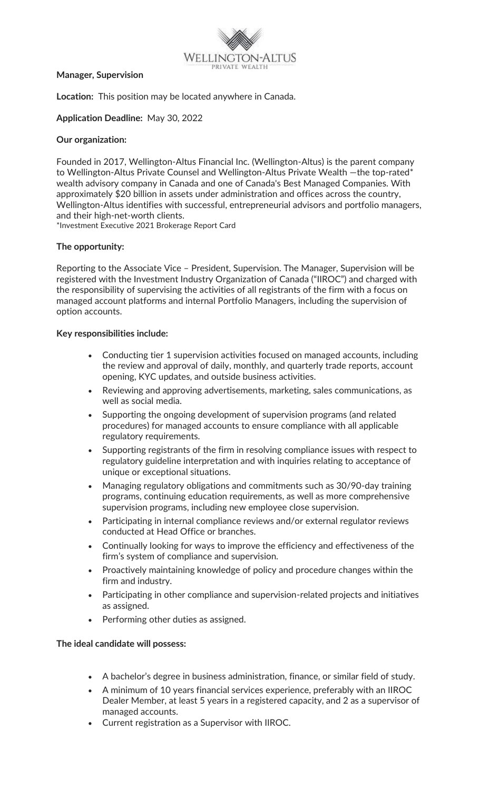

#### **Manager, Supervision**

**Location:** This position may be located anywhere in Canada.

#### **Application Deadline:** May 30, 2022

### **Our organization:**

Founded in 2017, Wellington-Altus Financial Inc. (Wellington-Altus) is the parent company to Wellington-Altus Private Counsel and Wellington-Altus Private Wealth - the top-rated\* wealth advisory company in Canada and one of Canada's Best Managed Companies. With approximately \$20 billion in assets under administration and offices across the country, Wellington-Altus identifies with successful, entrepreneurial advisors and portfolio managers, and their high-net-worth clients.

\*Investment Executive 2021 Brokerage Report Card

#### **The opportunity:**

Reporting to the Associate Vice – President, Supervision. The Manager, Supervision will be registered with the Investment Industry Organization of Canada ("IIROC") and charged with the responsibility of supervising the activities of all registrants of the firm with a focus on managed account platforms and internal Portfolio Managers, including the supervision of option accounts.

#### **Key responsibilities include:**

- Conducting tier 1 supervision activities focused on managed accounts, including the review and approval of daily, monthly, and quarterly trade reports, account opening, KYC updates, and outside business activities.
- Reviewing and approving advertisements, marketing, sales communications, as well as social media.
- Supporting the ongoing development of supervision programs (and related procedures) for managed accounts to ensure compliance with all applicable regulatory requirements.
- Supporting registrants of the firm in resolving compliance issues with respect to regulatory guideline interpretation and with inquiries relating to acceptance of unique or exceptional situations.
- Managing regulatory obligations and commitments such as 30/90-day training programs, continuing education requirements, as well as more comprehensive supervision programs, including new employee close supervision.
- Participating in internal compliance reviews and/or external regulator reviews conducted at Head Office or branches.
- Continually looking for ways to improve the efficiency and effectiveness of the firm's system of compliance and supervision.
- Proactively maintaining knowledge of policy and procedure changes within the firm and industry.
- Participating in other compliance and supervision-related projects and initiatives as assigned.
- Performing other duties as assigned.

#### **The ideal candidate will possess:**

- A bachelor's degree in business administration, finance, or similar field of study.
- A minimum of 10 years financial services experience, preferably with an IIROC Dealer Member, at least 5 years in a registered capacity, and 2 as a supervisor of managed accounts.
- Current registration as a Supervisor with IIROC.